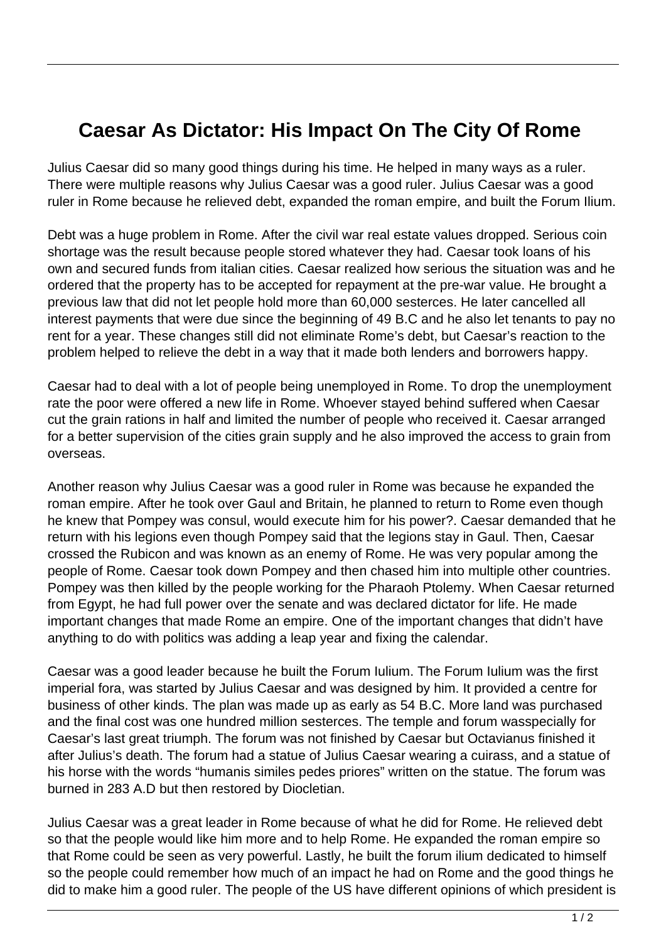## **Caesar As Dictator: His Impact On The City Of Rome**

Julius Caesar did so many good things during his time. He helped in many ways as a ruler. There were multiple reasons why Julius Caesar was a good ruler. Julius Caesar was a good ruler in Rome because he relieved debt, expanded the roman empire, and built the Forum Ilium.

Debt was a huge problem in Rome. After the civil war real estate values dropped. Serious coin shortage was the result because people stored whatever they had. Caesar took loans of his own and secured funds from italian cities. Caesar realized how serious the situation was and he ordered that the property has to be accepted for repayment at the pre-war value. He brought a previous law that did not let people hold more than 60,000 sesterces. He later cancelled all interest payments that were due since the beginning of 49 B.C and he also let tenants to pay no rent for a year. These changes still did not eliminate Rome's debt, but Caesar's reaction to the problem helped to relieve the debt in a way that it made both lenders and borrowers happy.

Caesar had to deal with a lot of people being unemployed in Rome. To drop the unemployment rate the poor were offered a new life in Rome. Whoever stayed behind suffered when Caesar cut the grain rations in half and limited the number of people who received it. Caesar arranged for a better supervision of the cities grain supply and he also improved the access to grain from overseas.

Another reason why Julius Caesar was a good ruler in Rome was because he expanded the roman empire. After he took over Gaul and Britain, he planned to return to Rome even though he knew that Pompey was consul, would execute him for his power?. Caesar demanded that he return with his legions even though Pompey said that the legions stay in Gaul. Then, Caesar crossed the Rubicon and was known as an enemy of Rome. He was very popular among the people of Rome. Caesar took down Pompey and then chased him into multiple other countries. Pompey was then killed by the people working for the Pharaoh Ptolemy. When Caesar returned from Egypt, he had full power over the senate and was declared dictator for life. He made important changes that made Rome an empire. One of the important changes that didn't have anything to do with politics was adding a leap year and fixing the calendar.

Caesar was a good leader because he built the Forum Iulium. The Forum Iulium was the first imperial fora, was started by Julius Caesar and was designed by him. It provided a centre for business of other kinds. The plan was made up as early as 54 B.C. More land was purchased and the final cost was one hundred million sesterces. The temple and forum wasspecially for Caesar's last great triumph. The forum was not finished by Caesar but Octavianus finished it after Julius's death. The forum had a statue of Julius Caesar wearing a cuirass, and a statue of his horse with the words "humanis similes pedes priores" written on the statue. The forum was burned in 283 A.D but then restored by Diocletian.

Julius Caesar was a great leader in Rome because of what he did for Rome. He relieved debt so that the people would like him more and to help Rome. He expanded the roman empire so that Rome could be seen as very powerful. Lastly, he built the forum ilium dedicated to himself so the people could remember how much of an impact he had on Rome and the good things he did to make him a good ruler. The people of the US have different opinions of which president is